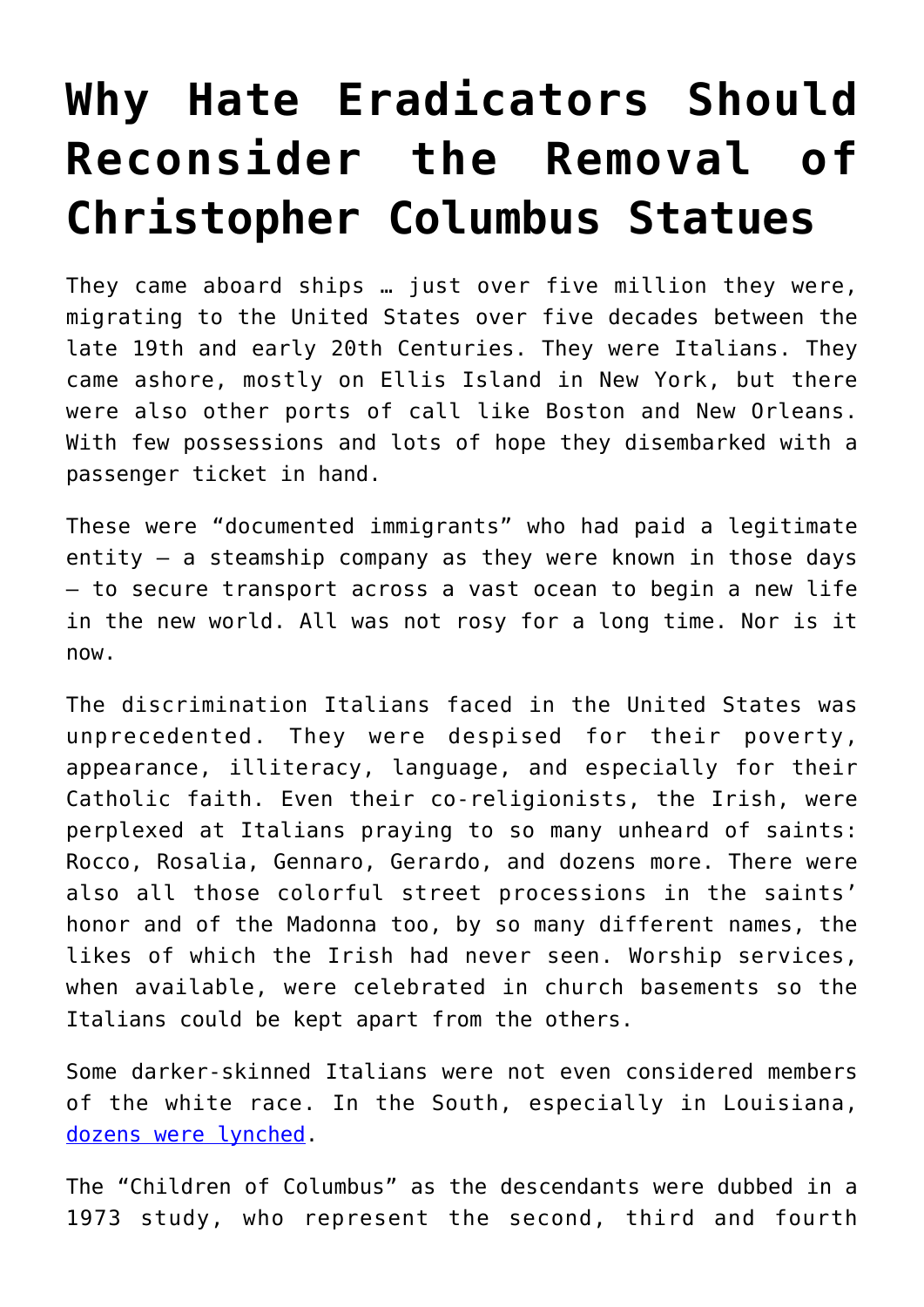## **[Why Hate Eradicators Should](https://intellectualtakeout.org/2017/09/why-hate-eradicators-should-reconsider-the-removal-of-christopher-columbus-statues/) [Reconsider the Removal of](https://intellectualtakeout.org/2017/09/why-hate-eradicators-should-reconsider-the-removal-of-christopher-columbus-statues/) [Christopher Columbus Statues](https://intellectualtakeout.org/2017/09/why-hate-eradicators-should-reconsider-the-removal-of-christopher-columbus-statues/)**

They came aboard ships … just over five million they were, migrating to the United States over five decades between the late 19th and early 20th Centuries. They were Italians. They came ashore, mostly on Ellis Island in New York, but there were also other ports of call like Boston and New Orleans. With few possessions and lots of hope they disembarked with a passenger ticket in hand.

These were "documented immigrants" who had paid a legitimate entity – a steamship company as they were known in those days – to secure transport across a vast ocean to begin a new life in the new world. All was not rosy for a long time. Nor is it now.

The discrimination Italians faced in the United States was unprecedented. They were despised for their poverty, appearance, illiteracy, language, and especially for their Catholic faith. Even their co-religionists, the Irish, were perplexed at Italians praying to so many unheard of saints: Rocco, Rosalia, Gennaro, Gerardo, and dozens more. There were also all those colorful street processions in the saints' honor and of the Madonna too, by so many different names, the likes of which the Irish had never seen. Worship services, when available, were celebrated in church basements so the Italians could be kept apart from the others.

Some darker-skinned Italians were not even considered members of the white race. In the South, especially in Louisiana, [dozens were lynched.](http://www.italoamericano.org/story/2012-12-13/corda-sapone)

The "Children of Columbus" as the descendants were dubbed in a 1973 study, who represent the second, third and fourth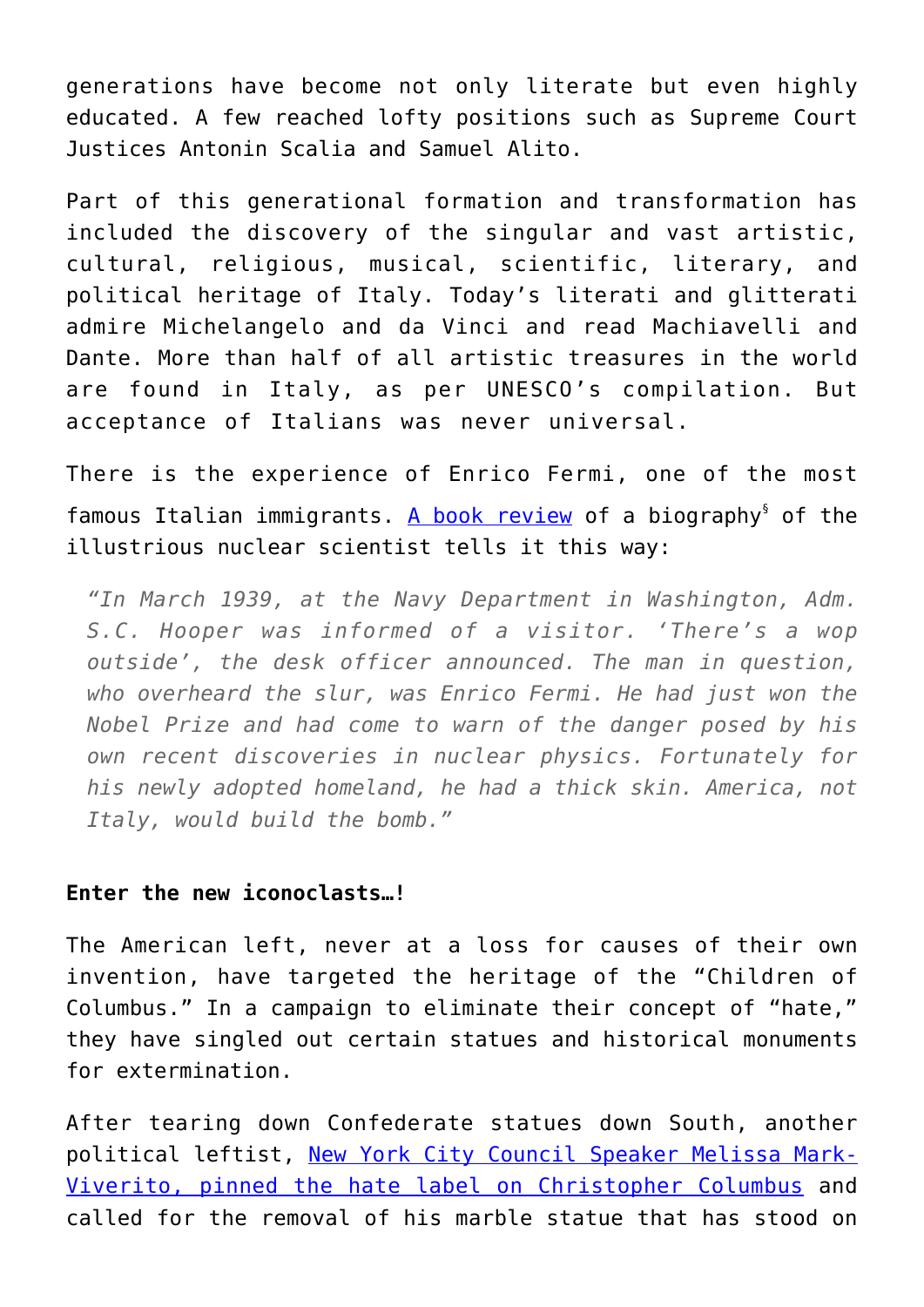generations have become not only literate but even highly educated. A few reached lofty positions such as Supreme Court Justices Antonin Scalia and Samuel Alito.

Part of this generational formation and transformation has included the discovery of the singular and vast artistic, cultural, religious, musical, scientific, literary, and political heritage of Italy. Today's literati and glitterati admire Michelangelo and da Vinci and read Machiavelli and Dante. More than half of all artistic treasures in the world are found in Italy, as per UNESCO's compilation. But acceptance of Italians was never universal.

There is the experience of Enrico Fermi, one of the most famous Italian immigrants. [A book review](https://www.wsj.com/articles/father-of-the-atomic-age-1477074176) of a biography<sup>§</sup> of the illustrious nuclear scientist tells it this way:

*"In March 1939, at the Navy Department in Washington, Adm. S.C. Hooper was informed of a visitor. 'There's a wop outside', the desk officer announced. The man in question, who overheard the slur, was Enrico Fermi. He had just won the Nobel Prize and had come to warn of the danger posed by his own recent discoveries in nuclear physics. Fortunately for his newly adopted homeland, he had a thick skin. America, not Italy, would build the bomb."*

## **Enter the new iconoclasts…!**

The American left, never at a loss for causes of their own invention, have targeted the heritage of the "Children of Columbus." In a campaign to eliminate their concept of "hate," they have singled out certain statues and historical monuments for extermination.

After tearing down Confederate statues down South, another political leftist, [New York City Council Speaker Melissa Mark-](http://observer.com/2017/08/de-blasio-nyc-christopher-columbus-statue/)[Viverito, pinned the hate label on Christopher Columbus](http://observer.com/2017/08/de-blasio-nyc-christopher-columbus-statue/) and called for the removal of his marble statue that has stood on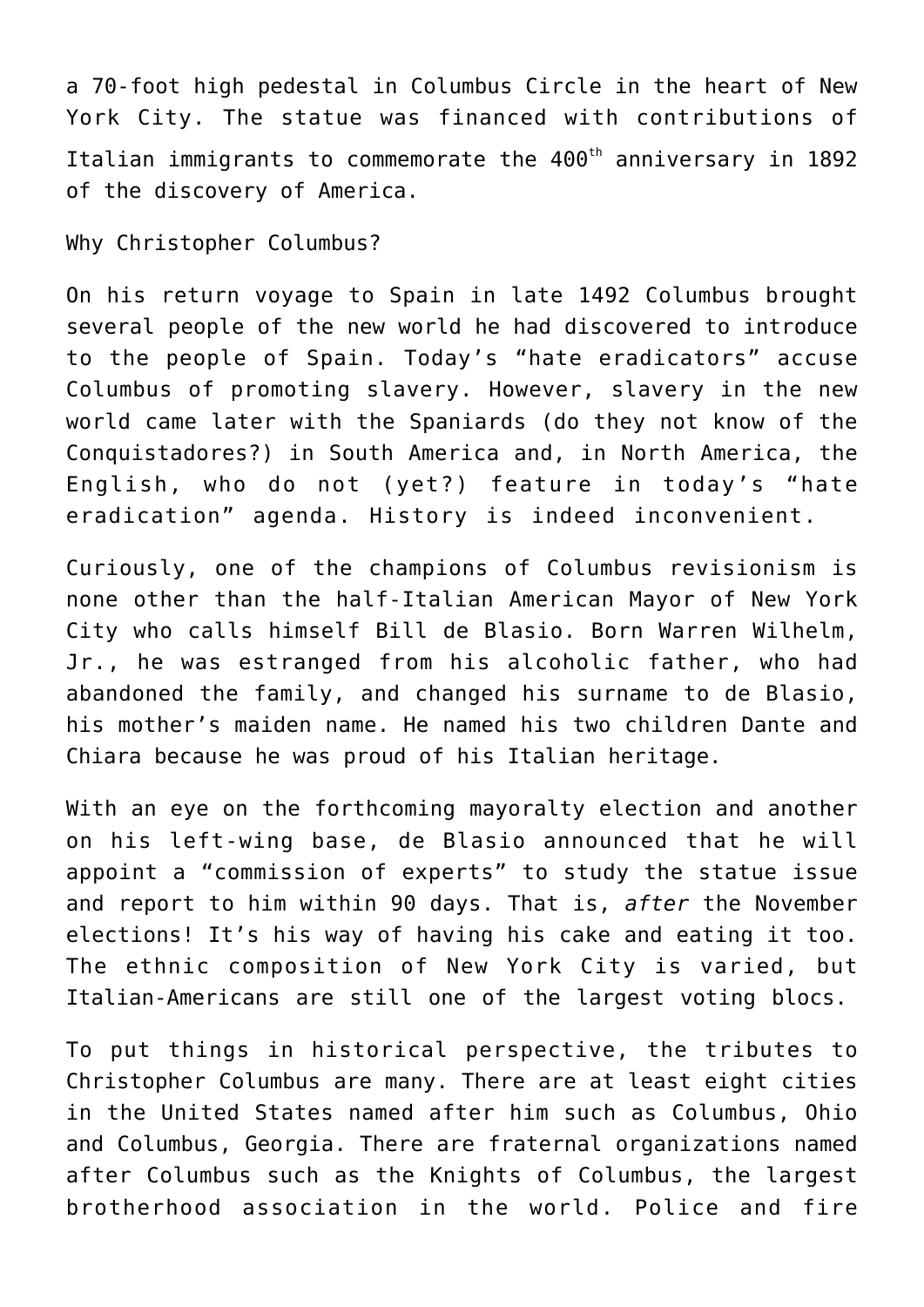a 70-foot high pedestal in Columbus Circle in the heart of New York City. The statue was financed with contributions of Italian immigrants to commemorate the  $400<sup>th</sup>$  anniversary in 1892 of the discovery of America.

Why Christopher Columbus?

On his return voyage to Spain in late 1492 Columbus brought several people of the new world he had discovered to introduce to the people of Spain. Today's "hate eradicators" accuse Columbus of promoting slavery. However, slavery in the new world came later with the Spaniards (do they not know of the Conquistadores?) in South America and, in North America, the English, who do not (yet?) feature in today's "hate eradication" agenda. History is indeed inconvenient.

Curiously, one of the champions of Columbus revisionism is none other than the half-Italian American Mayor of New York City who calls himself Bill de Blasio. Born Warren Wilhelm, Jr., he was estranged from his alcoholic father, who had abandoned the family, and changed his surname to de Blasio, his mother's maiden name. He named his two children Dante and Chiara because he was proud of his Italian heritage.

With an eye on the forthcoming mayoralty election and another on his left-wing base, de Blasio announced that he will appoint a "commission of experts" to study the statue issue and report to him within 90 days. That is, *after* the November elections! It's his way of having his cake and eating it too. The ethnic composition of New York City is varied, but Italian-Americans are still one of the largest voting blocs.

To put things in historical perspective, the tributes to Christopher Columbus are many. There are at least eight cities in the United States named after him such as Columbus, Ohio and Columbus, Georgia. There are fraternal organizations named after Columbus such as the Knights of Columbus, the largest brotherhood association in the world. Police and fire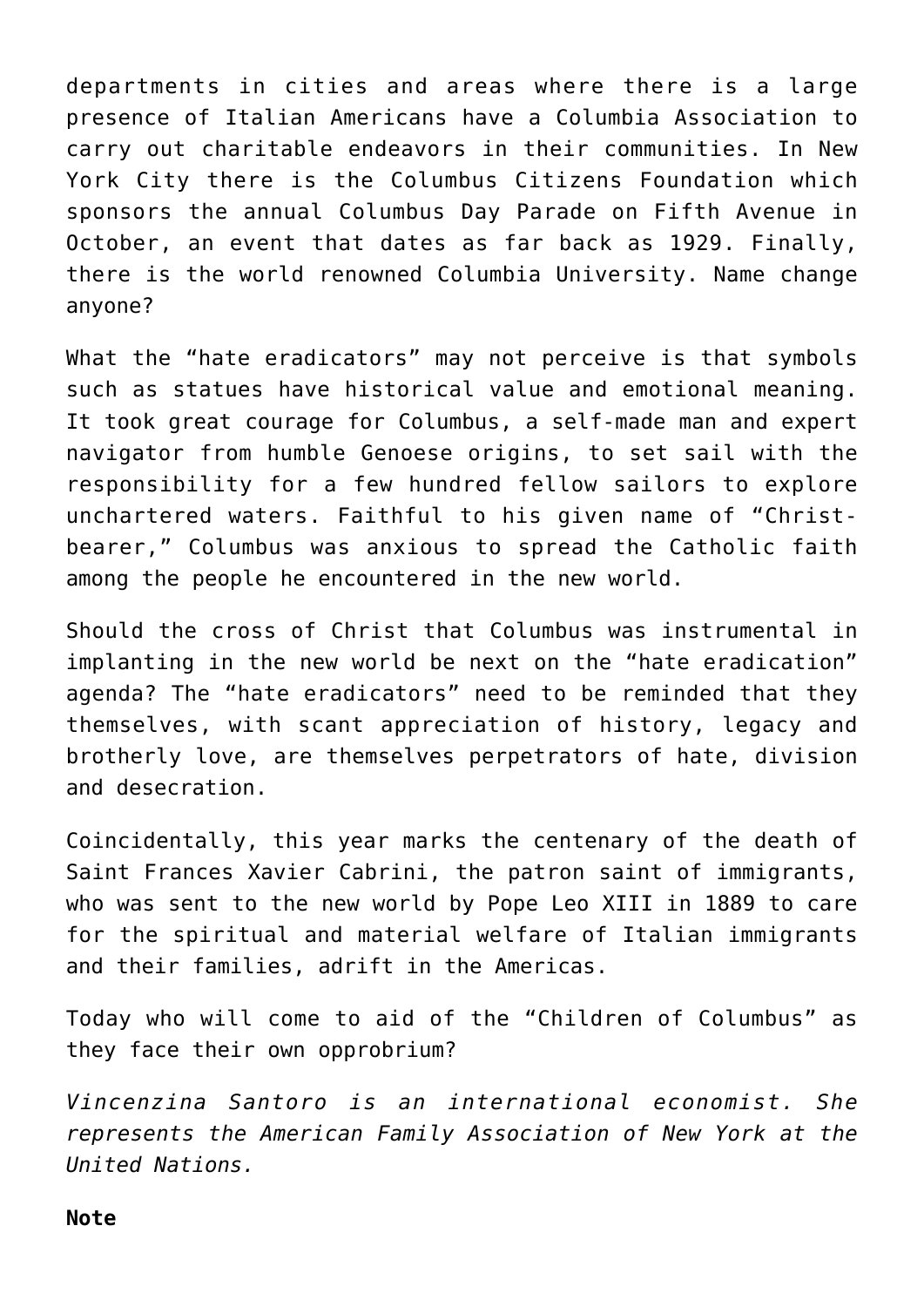departments in cities and areas where there is a large presence of Italian Americans have a Columbia Association to carry out charitable endeavors in their communities. In New York City there is the Columbus Citizens Foundation which sponsors the annual Columbus Day Parade on Fifth Avenue in October, an event that dates as far back as 1929. Finally, there is the world renowned Columbia University. Name change anyone?

What the "hate eradicators" may not perceive is that symbols such as statues have historical value and emotional meaning. It took great courage for Columbus, a self-made man and expert navigator from humble Genoese origins, to set sail with the responsibility for a few hundred fellow sailors to explore unchartered waters. Faithful to his given name of "Christbearer," Columbus was anxious to spread the Catholic faith among the people he encountered in the new world.

Should the cross of Christ that Columbus was instrumental in implanting in the new world be next on the "hate eradication" agenda? The "hate eradicators" need to be reminded that they themselves, with scant appreciation of history, legacy and brotherly love, are themselves perpetrators of hate, division and desecration.

Coincidentally, this year marks the centenary of the death of Saint Frances Xavier Cabrini, the patron saint of immigrants, who was sent to the new world by Pope Leo XIII in 1889 to care for the spiritual and material welfare of Italian immigrants and their families, adrift in the Americas.

Today who will come to aid of the "Children of Columbus" as they face their own opprobrium?

*Vincenzina Santoro is an international economist. She represents the American Family Association of New York at the United Nations.*

## **Note**